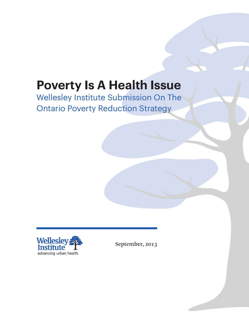# **Poverty Is A Health Issue**

# Wellesley Institute Submission On The Ontario Poverty Reduction Strategy



September, 2013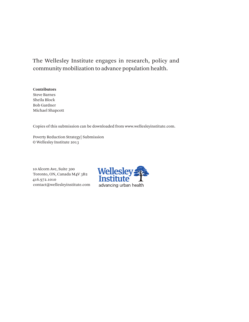The Wellesley Institute engages in research, policy and community mobilization to advance population health.

#### **Contributors**

Steve Barnes Sheila Block Bob Gardner Michael Shapcott

Copies of this submission can be downloaded from www.wellesleyinstitute.com.

Poverty Reduction Strategy| Submission © Wellesley Institute 2013

10 Alcorn Ave, Suite 300 Toronto, ON, Canada M4V 3B2 416.972.1010 contact@wellesleyinstitute.com

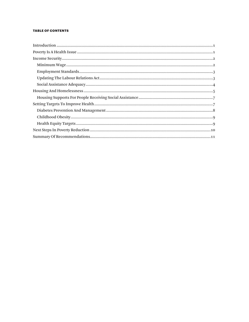#### **TABLE OF CONTENTS**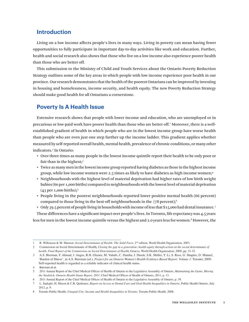# **Introduction**

Living on a low income affects people's lives in many ways. Living in poverty can mean having fewer opportunities to fully participate in important day-to-day activities like work and education. Further, health and social research also shows that those who live on a low income also experience poorer health than those who are better off.

This submission to the Ministry of Child and Youth Services about the Ontario Poverty Reduction Strategy outlines some of the key areas in which people with low income experience poor health in our province. Our research demonstrates that the health of the poorest Ontarians can be improved by investing in housing and homelessness, income security, and health equity. The new Poverty Reduction Strategy should make good health for all Ontarians a cornerstone.

# **Poverty Is A Health Issue**

Extensive research shows that people with lower income and education, who are unemployed or in precarious or low-paid work have poorer health than those who are better off.<sup>1</sup> Moreover, there is a wellestablished gradient of health in which people who are in the lowest income group have worse health than people who are even just one step further up the income ladder. This gradient applies whether measured by self-reported overall health, mental health, prevalence of chronic conditions, or many other indicators.<sup>2</sup> In Ontario:

- • Over three times as many people in the lowest income quintile report their health to be only poor or fair than in the highest;<sup>3</sup>
- • Twice as many men in the lowest income group reported having diabetes as those in the highest income group, while low income women were 2.5 times as likely to have diabetes as high income women; $4$
- • Neighbourhoods with the highest level of material deprivation had higher rates of low birth weight babies (60 per 1,000 births) compared to neighbourhoods with the lowest level of material deprivation  $(43$  per 1,000 births);<sup>5</sup>
- • People living in the poorest neighbourhoods reported lower positive mental health (66 percent) compared to those living in the best-off neighbourhoods in the (78 percent);6
- Only 39.5 percent of people living in households with income of less that \$15,000 had dental insurance.<sup>7</sup>
- These differences have a significant impact over people's lives. In Toronto, life expectancy was 4.5 years

less for men in the lowest income quintile versus the highest and 2.0 years less for women.8 However, the

<sup>1</sup> R. Wilkinson & M. Marmot, *Social Determinants of Health: The Solid Facts,* 2nd edition, World Health Organization, 2003.

<sup>2</sup> Commission on Social Determinants of Health*, Closing the gap in a generation: health equity through action on the social determinants of health. Final Report of the Commission on Social Determinants of Health,* Geneva, World Health Organization, 2008, pp. 31-32.

<sup>3</sup> A.S. Bierman, F. Ahmad, J. Angus, R.H. Glazier, M. Vahabi, C. Damba, J. Dusek, S.K. Shiller, Y. Li, S. Ross, G. Shapiro, D. Manuel, 'Burden of Illness', in A.S. Bierman (ed.), *Project for an Ontario Women's Health Evidence-Based Report: Volume 1*: Toronto; 2009. Self-reported health is regarded as a reliable indicator of clinical health status.

<sup>4</sup> Bierman et al.

<sup>5</sup>  2011 Annual Report of the Chief Medical Officer of Health of Ontario to the Legislative Assembly of Ontario, *Maintaining the Gains, Moving the Yardstick: Ontario Health Status Report, 2011*, Chief Medical Officer of Health of Ontario, 2011, p. 13.

<sup>6</sup>  2011 Annual Report of the Chief Medical Officer of Health of Ontario to the Legislative Assembly of Ontario, p. 39.

<sup>7</sup> L. Sadeghi, H. Mason & C.R. Quiñonez, *Report on Access to Dental Care and Oral Health Inequalities in Ontario*, Public Health Ontario, July 2012, p. 9.

<sup>8</sup> Toronto Public Health, *Unequal City: Income and Health Inequalities in Toronto*, Toronto Public Health, 2008.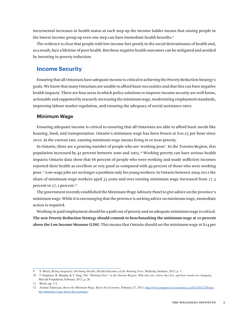incremental increases in health status at each step up the income ladder means that raising people in the lowest income group up even one step can have immediate health benefits.9

The evidence is clear that people with low income fare poorly in the social determinants of health and, as a result, face a lifetime of poor health. But these negative health outcomes can be mitigated and avoided by investing in poverty reduction.

## **Income Security**

Ensuring that all Ontarians have adequate income is critical to achieving the Poverty Reduction Strategy's goals. We know that many Ontarians are unable to afford basic necessities and that this can have negative health impacts. There are four areas in which policy solutions to improve income security are well-know, actionable and supported by research: increasing the minimum wage, modernizing employment standards, improving labour market regulation, and ensuring the adequacy of social assistance rates.

#### **Minimum Wage**

Ensuring adequate income is critical to ensuring that all Ontarians are able to afford basic needs like housing, food, and transportation. Ontario's minimum wage has been frozen at \$10.25 per hour since 2010. At the current rate, earning minimum wage means living in or near poverty.

In Ontario, there are a growing number of people who are 'working poor'. In the Toronto Region, this population increased by 42 percent between 2000 and 2005.10 Working poverty can have serious health impacts: Ontario data show that 66 percent of people who were working and made sufficient incomes reported their health as excellent or very good as compared with 49 percent of those who were working poor.11Low-wage jobs are no longer a problem only for young workers: in Ontario between 2004-2012 the share of minimum wage workers aged 35 years and over earning minimum wage increased from 17.3 percent to 27.1 percent.<sup>12</sup>

The government recently established the Minimum Wage Advisory Panel to give advice on the province's minimum wage. While it is encouraging that the province is seeking advice on minimum wage, immediate action is required.

Working in paid employment should be a path out of poverty and an adequate minimum wage is critical. **The new Poverty Reduction Strategy should commit to benchmarking the minimum wage at 10 percent above the Low Income Measure (LIM).** This means that Ontario should set the minimum wage at \$14 per

<sup>9</sup> S. Block, *Rising Inequality, Declining Health: Health Outcomes of the Working Poor*, Wellesley Institute, 2013, p. 1.

<sup>10</sup> J. Stapleton, B. Murphy & Y. Xing, *The "Working Poor" in the Toronto Region: Who they are, where they live, and how trends are changing*, Metcalf Foundation, February 2012, p. 26.

<sup>11</sup> Block, pp. 3-4.

<sup>12</sup> Armine Yalnizyan, *Boost the Minimum Wage, Boost the Economy*, February 27, 2013. http://www.progressive-economics.ca/2013/02/27/boostthe-minimum-wage-boost-the-economy/.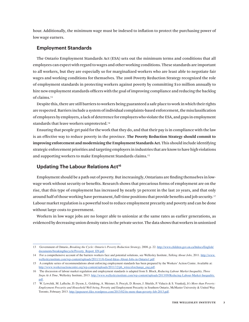hour. Additionally, the minimum wage must be indexed to inflation to protect the purchasing power of low wage earners.

#### **Employment Standards**

The Ontario Employment Standards Act (ESA) sets out the minimum terms and conditions that all employees can expect with regard to wages and other working conditions. These standards are important to all workers, but they are especially so for marginalized workers who are least able to negotiate fair wages and working conditions for themselves. The 2008 Poverty Reduction Strategy recognized the role of employment standards in protecting workers against poverty by committing \$10 million annually to hire new employment standards officers with the goal of improving compliance and reducing the backlog of claims.<sup>13</sup>

Despite this, there are still barriers to workers being guaranteed a safe place to work in which their rights are respected. Barriers include a system of individual complaints-based enforcement, the misclassification of employees by employers, a lack of deterrence for employers who violate the ESA, and gaps in employment standards that leave workers unprotected.<sup>14</sup>

Ensuring that people get paid for the work that they do, and that their pay is in compliance with the law is an effective way to reduce poverty in the province. **The Poverty Reduction Strategy should commit to improving enforcement and modernizing the Employment Standards Act.** This should include identifying strategic enforcement priorities and targeting employers in industries that are know to have high violations and supporting workers to make Employment Standards claims.15

#### **Updating The Labour Relations Act<sup>16</sup>**

Employment should be a path out of poverty. But increasingly, Ontarians are finding themselves in lowwage work without security or benefits. Research shows that precarious forms of employment are on the rise, that this type of employment has increased by nearly 50 percent in the last 20 years, and that only around half of those working have permanent, full-time positions that provide benefits and job security.<sup>17</sup> Labour market regulation is a powerful tool to reduce employment precarity and poverty and can be done without large costs to government.

Workers in low wage jobs are no longer able to unionize at the same rates as earlier generations, as evidenced by decreasing union density rates in the private sector. The data shows that workers in unionized

<sup>13</sup> Government of Ontario, *Breaking the Cycle: Ontario's Poverty Reduction Strategy,* 2008, p. 22. http://www.children.gov.on.ca/htdocs/English/ documents/breakingthecycle/Poverty\_Report\_EN.pdf.

<sup>14</sup> For a comprehensive account of the barriers workers face and potential solutions, see Wellesley Institute, *Talking About Jobs,* 2011. http://www. wellesleyinstitute.com/wp-content/uploads/2011/11/6-Good-Ideas-About-Jobs-in-Ontario1.pdf.

<sup>15</sup> A complete series of recommendations about enforcing employment standards has been prepared by the Workers'Action Centre. Available at: http://www.workersactioncentre.org/wp-content/uploads/2011/12/pb\_wtrecsforchange\_eng.pdf.

<sup>16</sup> The discussion of labour market regulation and employment standards is adapted from S. Block, *Reducing Labour Market Inequality, Three Steps At A Time*, Wellesley Institute, 2013. http://www.wellesleyinstitute.com/wp-content/uploads/2013/09/Reducing-Labour-Market-Inequality. pdf.

<sup>17</sup> W. Lewchik, M. Lafleche, D. Dyson, L. Goldring, A. Meisner, S. Procyk, D. Rosen, J. Shields, P. Viducis & S. Vrankulj, *It's More than Poverty: Employment Precarity and Household Well-being*, Poverty and Employment Precarity in Southern Ontario, McMaster University & United Way Toronto, February 2013. http://pepsouwt.files.wordpress.com/2013/02/its-more-than-poverty-feb-2013.pdf.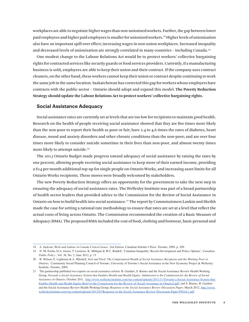workplaces are able to negotiate higher wages than non-unionized workers. Further, the gap between lower paid employees and higher paid employees is smaller for unionized workers.18 Higher levels of unionization also have an important spill over effect; increasing wages in non-union workplaces. Increased inequality and decreased levels of unionization are strongly correlated in many countries – including Canada.19

One modest change to the Labour Relations Act would be to protect workers' collective bargaining rights for contracted services like security guards or food services providers. Currently, if a manufacturing business is sold, employees are able to keep their union and their contract. If the company uses contract cleaners, on the other hand, these workers cannot keep their union or contract despite continuing to work the same job in the same location. Saskatchewan has corrected this gap for workers whose employers have contracts with the public sector – Ontario should adopt and expand this model. **The Poverty Reduction Strategy should update the Labour Relations Act to protect workers' collective bargaining rights**.

#### **Social Assistance Adequacy**

Social assistance rates are currently set at levels that are too low for recipients to maintain good health. Research on the health of people receiving social assistance showed that they are five times more likely than the non-poor to report their health as poor or fair; have 2.4 to 4.6 times the rates of diabetes, heart disease, mood and anxiety disorders and other chronic conditions than the non-poor; and are over four times more likely to consider suicide sometime in their lives than non-poor, and almost twenty times more likely to attempt suicide.<sup>20</sup>

The 2013 Ontario Budget made progress toward adequacy of social assistance by raising the rates by one percent, allowing people receiving social assistance to keep more of their earned income, providing a \$14 per month additional top-up for single people on Ontario Works, and increasing asset limits for all Ontario Works recipients. These moves were broadly welcomed by stakeholders.

The new Poverty Reduction Strategy offers an opportunity for the government to take the next step in ensuring the adequacy of social assistance rates. The Wellesley Institute was part of a broad partnership of health sector leaders that provided advice to the Commission for the Review of Social Assistance in Ontario on how to build health into social assistance.21 The report by Commissioners Lankin and Sheikh made the case for setting a rational rate methodology to ensure that rates are set at a level that reflect the actual costs of living across Ontario. The Commission recommended the creation of a Basic Measure of Adequacy (BMA). The proposed BMA included the cost of food, clothing and footwear, basic personal and

<sup>18</sup> A. Jackson, *Work and Labour in Canada Critical Issues: 2nd Edition,* Canadian Scholar's Press, Toronto, 2009, p. 209.

<sup>19</sup> N. M. Fortin, D.A. Green, T. Lemieux, K. Milligan & W.C. Riddell, 'Canadian Inequality: Recent Development and Policy Options', *Canadian Public Policy* , Vol. 38, No. 2, June 2012, p. 15

<sup>20</sup> B. Wilson, E. Lightman & A. Mitchell, *Sick and Tired: The Compromised Health of Social Assistance Recipients and the Working Poor in Ontario*, Community Social Planning Council of Toronto, University of Toronto's Social Assistance in the New Economy Project & Wellesley Institute, Toronto, 2009.

<sup>21</sup> The partnership published two reports on social assistance reform: B. Gardner, S. Barnes and the Social Assistance Review Health Working Group, *Towards a Social Assistance System that Enables Health and Health Equity: Submission to the Commission for the Review of Social Assistance in Ontario*, October 2011, http://www.wellesleyinstitute.com/wp-content/uploads/2011/11/Towards-a-Social-Assistance-System-that-Enables-Health-and-Health-Equity-Brief-to-the-Commission-for-the-Review-of-Social-Assistance-in-Ontario2.pdf; and S. Barnes, B. Gardner and the Social Assistance Review Health Working Group, *Response to the Social Assistance Review Discussion Paper*, March 2012, http://www. wellesleyinstitute.com/wp-content/uploads/2012/03/Response-to-the-Social-Assistance-Review-Discussion-Paper-FINAL1.pdf.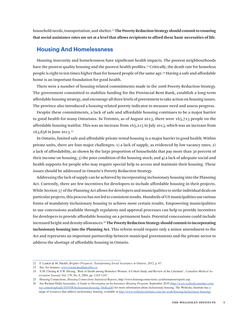household needs, transportation, and shelter.22**The Poverty Reduction Strategy should commit to ensuring that social assistance rates are set at a level that allows recipients to afford these basic necessities of life**.

## **Housing And Homelessness**

Housing insecurity and homelessness have significant health impacts. The poorest neighbourhoods have the poorest quality housing and the poorest health profiles.<sup>23</sup> Critically, the death rate for homeless people is eight to ten times higher than for housed people of the same age.<sup>24</sup> Having a safe and affordable home is an important foundation for good health.

There were a number of housing-related commitments made in the 2008 Poverty Reduction Strategy. The government committed to stabilize funding for the Provincial Rent Bank, establish a long-term affordable housing strategy, and encourage all three levels of government to take action on housing issues. The province also introduced a housing-related poverty indicator to measure need and assess progress.

Despite these commitments, a lack of safe and affordable housing continues to be a major barrier to good health for many Ontarians. In Toronto, as of August 2013, there were 165,723 people on the affordable housing waitlist. This was an increase from 165,215 in July 2013, which was an increase from 163,858 in June 2013.<sup>25</sup>

In Ontario, limited safe and affordable private rental housing is a major barrier to good health. Within private units, there are four major challenges: 1) a lack of supply, as evidenced by low vacancy rates; 2) a lack of affordability, as shown by the large proportion of households that pay more than 30 percent of their income on housing; 3) the poor condition of the housing stock; and 4) a lack of adequate social and health supports for people who may require special help to access and maintain their housing. These issues should be addressed in Ontario's Poverty Reduction Strategy.

Addressing the lack of supply can be achieved by incorporating inclusionary housing into the Planning Act. Currently, there are few incentives for developers to include affordable housing in their projects. While Section 37 of the Planning Act allows for developers and municipalities to strike individual deals on particular projects, this process has not led to consistent results. Hundreds of US municipalities use various forms of mandatory inclusionary housing to achieve more certain results. Empowering municipalities to use concessions available through regulatory and approval processes can help to provide incentives for developers to provide affordable housing on a permanent basis. Potential concessions could include increased height and density allowances.26**The Poverty Reduction Strategy should commit to incorporating inclusionary housing into the Planning Act.** This reform would require only a minor amendment to the Act and represents an important partnership between municipal governments and the private sector to address the shortage of affordable housing in Ontario.

<sup>22</sup> F. Lankin & M. Sheikh, *Brighter Prospects: Transforming Social Assistance in Ontario*, 2012, p. 67.

<sup>23</sup> See, for instance, www.torontohealthprofiles.ca.

<sup>24</sup> A.M. Cheung & S.W. Hwang, 'Risk of Death among Homeless Women: A Cohort Study and Review of the Literature', *Canadian Medical Association Journal*, Vol. 170, No. 8, 2004, pp. 1243-1247.

<sup>25</sup> Housing Connections, *Housing Connections Statistical Reports*, http://www.housingconnections.ca/information/reports.asp.

<sup>26</sup> See Richard Drdla Associates, *A Guide to Developing an Inclusionary Housing Program*, September 2010 (http://www.wellesleyinstitute.com/ wp-content/uploads/2010/06/Inclusionaryhousing\_Drdla.pdf) for more information about inclusionary housing. The Wellesley Institute has a range of resources that address inclusionary housing, available at http://www.wellesleyinstitute.com/our-work/housing/inclusionary-housing/.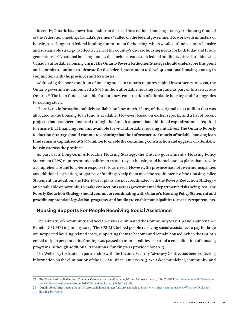Recently, Ontario has shown leadership on the need for a national housing strategy. At the 2013 Council of the Federation meeting, Canada's premiers "called on the federal government to work with ministers of housing on a long-term federal funding commitment for housing, which would outline a comprehensive and sustainable strategy to effectively meet the country's diverse housing needs for both today and future generations".27 A national housing strategy that includes consistent federal funding is critical to addressing Canada's affordable housing crisis. **The Ontario Poverty Reduction Strategy should underscore this point and commit to continue to advocate for the federal government to develop a national housing strategy in conjunction with the provinces and territories.**

Addressing the poor condition of housing stock in Ontario requires capital investments. In 2008, the Ontario government announced a \$500 million affordable housing loan fund as part of Infrastructure Ontario.28 The loan fund is available for both new construction of affordable housing and for upgrades to existing stock.

There is no information publicly available on how much, if any, of the original \$500 million that was allocated to the housing loan fund is available. However, based on earlier reports, and a list of recent projects that have been financed through the fund, it appears that additional capitalization is required to ensure that financing remains available for vital affordable housing initiatives. **The Ontario Poverty Reduction Strategy should commit to ensuring that the Infrastructure Ontario affordable housing loan fund remains capitalized at \$500 million to enable the continuing construction and upgrade of affordable housing across the province.**

As part of its Long-term Affordable Housing Strategy, the Ontario government's Housing Policy Statement (HPS) requires municipalities to create 10-year housing and homelessness plans that provide a comprehensive and long-term response to local needs. However, the province has not given municipalities any additional legislation, programs, or funding to help them meet the requirements of the Housing Policy Statement. In addition, the HPS 10-year plans are not coordinated with the Poverty Reduction Strategy – and a valuable opportunity to make connections across governmental departments risks being lost. **The Poverty Reduction Strategy should commit to coordinating with Ontario's Housing Policy Statement and providing appropriate legislation, programs, and funding to enable municipalities to meet its requirements**.

#### **Housing Supports For People Receiving Social Assistance**

The Ministry of Community and Social Services eliminated the Community Start-Up and Maintenance Benefit (CSUMB) in January 2013. The CSUMB helped people receiving social assistance to pay for large or unexpected housing-related costs, supporting them to become and remain housed. When the CSUMB ended only 50 percent of its funding was passed to municipalities as part of a consolidation of housing programs, although additional transitional funding was provided for 2013.

The Wellesley Institute, in partnership with the Income Security Advocacy Centre, has been collecting information on the elimination of the CSUMB since January 2013. We asked municipal, community, and

<sup>27</sup> The Council of the Federation, *Canada's Premiers are committed to a fair and inclusive society*, July 26, 2013. http://www.councilofthefederation.ca/phocadownload/newsroom-2013/fair\_and\_inclusive\_july26-final.pdf.

<sup>28</sup> Details about Infrastructure Ontario's affordable housing loan fund are available at http://www.infrastructureontario.ca/What-We-Do/Loans/ Housing-Providers/.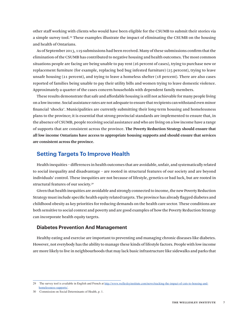other staff working with clients who would have been eligible for the CSUMB to submit their stories via a simple survey tool.<sup>29</sup> These examples illustrate the impact of eliminating the CSUMB on the housing and health of Ontarians.

As of September 2013, 119 submissions had been received. Many of these submissions confirm that the elimination of the CSUMB has contributed to negative housing and health outcomes. The most common situations people are facing are being unable to pay rent (26 percent of cases), trying to purchase new or replacement furniture (for example, replacing bed bug infested furniture) (25 percent), trying to leave unsafe housing (21 percent), and trying to leave a homeless shelter (18 percent). There are also cases reported of families being unable to pay their utility bills and women trying to leave domestic violence. Approximately a quarter of the cases concern households with dependent family members.

These results demonstrate that safe and affordable housing is still not achievable for many people living on a low income. Social assistance rates are not adequate to ensure that recipients can withstand even minor financial 'shocks'. Municipalities are currently submitting their long-term housing and homelessness plans to the province; it is essential that strong provincial standards are implemented to ensure that, in the absence of CSUMB, people receiving social assistance and who are living on a low income have a range of supports that are consistent across the province. **The Poverty Reduction Strategy should ensure that all low income Ontarians have access to appropriate housing supports and should ensure that services are consistent across the province.**

# **Setting Targets To Improve Health**

Health inequities – differences in health outcomes that are avoidable, unfair, and systematically related to social inequality and disadvantage – are rooted in structural features of our society and are beyond individuals' control. These inequities are not because of lifestyle, genetics or bad luck, but are rooted in structural features of our society.30

Given that health inequities are avoidable and strongly connected to income, the new Poverty Reduction Strategy must include specific health equity related targets. The province has already flagged diabetes and childhood obesity as key priorities for reducing demands on the health care sector. These conditions are both sensitive to social context and poverty and are good examples of how the Poverty Reduction Strategy can incorporate health equity targets.

#### **Diabetes Prevention And Management**

Healthy eating and exercise are important to preventing and managing chronic diseases like diabetes. However, not everybody has the ability to manage these kinds of lifestyle factors. People with low income are more likely to live in neighbourhoods that may lack basic infrastructure like sidewalks and parks that

<sup>29</sup> The survey tool is available in English and French at http://www.wellesleyinstitute.com/news/tracking-the-impact-of-cuts-to-housing-andhomelessness-supports/.

<sup>30</sup> Commission on Social Determinants of Health, p. 1.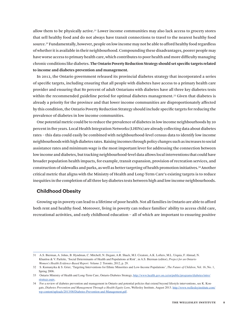allow them to be physically active.31 Lower income communities may also lack access to grocery stores that sell healthy food and do not always have transit connections to travel to the nearest healthy food source.32 Fundamentally, however, people on low income may not be able to afford healthy food regardless of whether it is available in their neighbourhood. Compounding these disadvantages, poorer people may have worse access to primary health care, which contributes to poor health and more difficulty managing chronic conditions like diabetes. **The Ontario Poverty Reduction Strategy should set specific targets related to income and diabetes prevention and management.**

In 2012, the Ontario government released its provincial diabetes strategy that incorporated a series of specific targets, including ensuring that all people with diabetes have access to a primary health care provider and ensuring that 80 percent of adult Ontarians with diabetes have all three key diabetes tests within the recommended guideline period for optimal diabetes management.<sup>33</sup> Given that diabetes is already a priority for the province and that lower income communities are disproportionately affected by this condition, the Ontario Poverty Reduction Strategy should include specific targets for reducing the prevalence of diabetes in low income communities.

One potential metric could be to reduce the prevalence of diabetes in low income neighbourhoods by 20 percent in five years. Local Health Integration Networks (LHINs) are already collecting data about diabetes rates – this data could easily be combined with neighbourhood-level census data to identify low income neighbourhoods with high diabetes rates. Raising incomes through policy changes such as increases to social assistance rates and minimum wage is the most important lever for addressing the connection between low income and diabetes, but tracking neighbourhood-level data allows local interventions that could have broader population health impacts, for example, transit expansion, provision of recreation services, and construction of sidewalks and parks, as well as better targeting of health promotion initiatives.34 Another critical metric that aligns with the Ministry of Health and Long-Term Care's existing targets is to reduce inequities in the completion of all three key diabetes tests between high and low income neighbourhoods.

#### **Childhood Obesity**

Growing up in poverty can lead to a lifetime of poor health. Not all families in Ontario are able to afford both rent and healthy food. Moreover, living in poverty can reduce families' ability to access child care, recreational activities, and early childhood education – all of which are important to ensuring positive

<sup>31</sup> A.S. Bierman, A. Johns, B. Hyndman, C. Mitchell, N. Degani, A.R. Shack, M.I. Creatore, A.K. Lofters, M.L. Urquia, F. Ahmad, N. Khanlou & V. Parlette, 'Social Determinants of Health and Populations at Risk', in A.S. Bierman (editor), *Project for an Ontario Women's Health Evidence-Based Report: Volume 2*: Toronto, 2012, p. 29.

<sup>32</sup> S. Kumanyika & S. Grier, 'Targeting Interventions for Ethnic Minorities and Low-Income Populations', *The Future of Children*, Vol. 16, No. 1, Spring 2006.

<sup>33</sup> Ontario Ministry of Health and Long-Term Care, Ontario Diabetes Strategy, http://www.health.gov.on.ca/en/public/programs/diabetes/intro/ strategy.aspx.

<sup>34</sup> For a review of diabetes prevention and management in Ontario and potential policies that extend beyond lifestyle interventions, see K. Kongats, *Diabetes Prevention and Management Through a Health Equity Len*s, Wellesley Institute, August 2013. http://www.wellesleyinstitute.com/ wp-content/uploads/2013/08/Diabetes-Prevention-and-Management.pdf.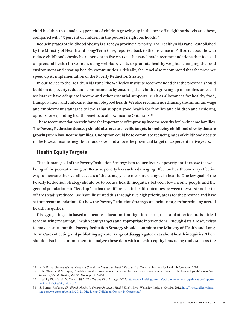child health.35 In Canada, 24 percent of children growing up in the best-off neighbourhoods are obese, compared with 35 percent of children in the poorest neighbourhoods.<sup>36</sup>

Reducing rates of childhood obesity is already a provincial priority. The Healthy Kids Panel, established by the Ministry of Health and Long-Term Care, reported back to the province in Fall 2012 about how to reduce childhood obesity by 20 percent in five years.37 The Panel made recommendations that focused on prenatal health for women, using well-baby visits to promote healthy weights, changing the food environment and creating healthy communities. Critically, the Panel also recommend that the province speed up its implementation of the Poverty Reduction Strategy.

In our advice to the Healthy Kids Panel the Wellesley Institute recommended that the province should build on its poverty reduction commitments by ensuring that children growing up in families on social assistance have adequate income and other essential supports, such as allowances for healthy food, transportation, and child care, that enable good health. We also recommended raising the minimum wage and employment standards to levels that support good health for families and children and exploring options for expanding health benefits to all low income Ontarians.38

These recommendations reinforce the importance of improving income security for low income families. **The Poverty Reduction Strategy should also create specific targets for reducing childhood obesity that are growing up in low income families.** One option could be to commit to reducing rates of childhood obesity in the lowest income neighbourhoods over and above the provincial target of 20 percent in five years.

#### **Health Equity Targets**

The ultimate goal of the Poverty Reduction Strategy is to reduce levels of poverty and increase the wellbeing of the poorest among us. Because poverty has such a damaging effect on health, one very effective way to measure the overall success of the strategy is to measure changes in health. One key goal of the Poverty Reduction Strategy should be to reduce health inequities between low income people and the general population – to "level up" so that the differences in health outcomes between the worst and better off are steadily reduced.We have illustrated this through two high priority areas for the province and have set out recommendations for how the Poverty Reduction Strategy can include targets for reducing overall health inequities.

Disaggregating data based on income, education, immigration status, race, and other factors is critical to identifying meaningful health equity targets and appropriate interventions. Enough data already exists to make a start, but **the Poverty Reduction Strategy should commit to the Ministry of Health and Long-Term Care collecting and publishing a greater range of disaggregated data about health inequities.** There should also be a commitment to analyze these data with a health equity lens using tools such as the

<sup>35</sup> K.D. Raine, *Overweight and Obese in Canada: A Population Health Perspectiv*e, Canadian Institute for Health Information, 2004.

<sup>36</sup> L.N. Oliver & M.V. Hayes, 'Neighbourhood socio-economic status and the prevalence of overweight Canadian children and youth', *Canadian Journal of Public Health,* Vol. 96, No. 6, pp. 415-420.

<sup>37</sup> Healthy Kids Panel, *No Time to Wait: The Healthy Kids Strategy*, 2012. http://www.health.gov.on.ca/en/common/ministry/publications/reports/ healthy\_kids/healthy\_kids.pdf.

<sup>38</sup> S. Barnes, *Reducing Childhood Obesity in Ontario through a Health Equity Lens*, Wellesley Institute, October 2012. http://www.wellesleyinstitute.com/wp-content/uploads/2012/10/Reducing-Childhood-Obesity-in-Ontario.pdf.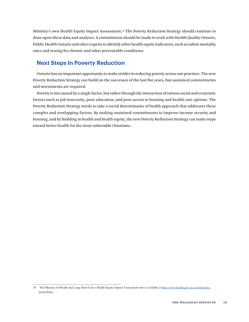Ministry's own Health Equity Impact Assessment.39 The Poverty Reduction Strategy should continue to draw upon these data and analyses. A commitment should be made to work with Health Quality Ontario, Public Health Ontario and other experts to identify other health equity indicators, such as infant mortality rates and testing for chronic and other preventable conditions.

# **Next Steps In Poverty Reduction**

Ontario has an important opportunity to make strides in reducing poverty across our province. The new Poverty Reduction Strategy can build on the successes of the last five years, but sustained commitments and investments are required.

Poverty is not caused by a single factor, but rather through the interaction of various social and economic factors such as job insecurity, poor education, and poor access to housing and health care options. The Poverty Reduction Strategy needs to take a social determinants of health approach that addresses these complex and overlapping factors. By making sustained commitments to improve income security and housing, and by building in health and health equity, the new Poverty Reduction Strategy can make steps toward better health for the most vulnerable Ontarians.

<sup>39</sup> The Ministry of Health and Long-Term Care's Health Equity Impact Assessment tool is available at http://www.health.gov.on.ca/en/pro/programs/heia/.